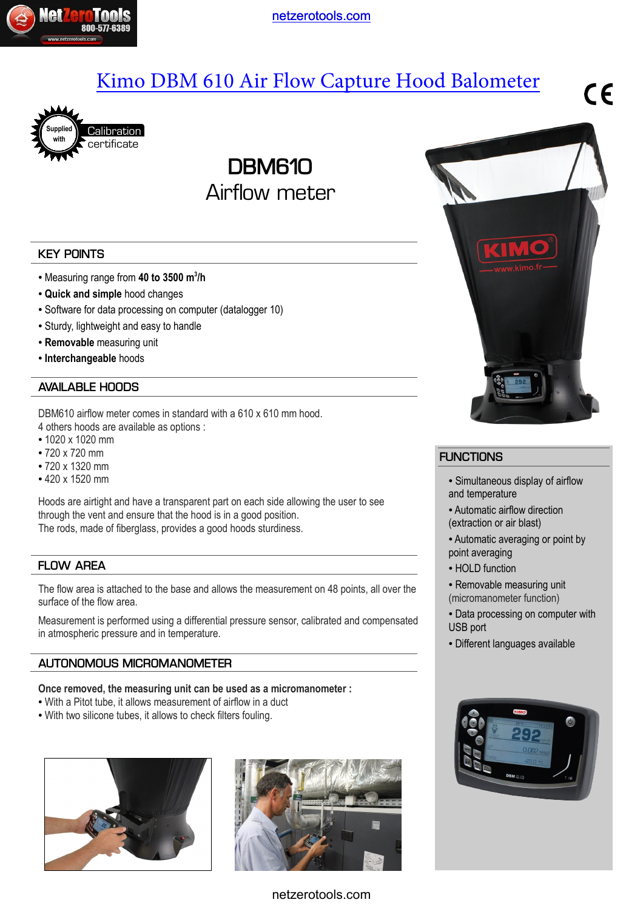

[netzerotools.com](http://www.netzerotools.com)

# [Kimo DBM 610 Air Flow Capture Hood Balometer](http://www.netzerotools.com/kimo-dbm-610-balometer-airflow-meter)





**DBM610** Airflow meter

## **KEY POINTS**

- Measuring range from **40 to 3500 m<sup>3</sup> /h**
- **Quick and simple** hood changes
- Software for data processing on computer (datalogger 10)
- Sturdy, lightweight and easy to handle
- **Removable** measuring unit
- **Interchangeable** hoods

### **AVAILABLE HOODS**

DBM610 airflow meter comes in standard with a 610 x 610 mm hood. 4 others hoods are available as options :

- 1020 x 1020 mm
- 720 x 720 mm
- 720 x 1320 mm
- 420 x 1520 mm

Hoods are airtight and have a transparent part on each side allowing the user to see through the vent and ensure that the hood is in a good position. The rods, made of fiberglass, provides a good hoods sturdiness.

## **FLOW AREA**

The flow area is attached to the base and allows the measurement on 48 points, all over the surface of the flow area.

Measurement is performed using a differential pressure sensor, calibrated and compensated in atmospheric pressure and in temperature.

## **AUTONOMOUS MICROMANOMETER**

#### **Once removed, the measuring unit can be used as a micromanometer :**

- With a Pitot tube, it allows measurement of airflow in a duct
- With two silicone tubes, it allows to check filters fouling.









## **FUNCTIONS**

- Simultaneous display of airflow and temperature
- Automatic airflow direction (extraction or air blast)
- Automatic averaging or point by point averaging
- HOLD function
- Removable measuring unit (micromanometer function)
- Data processing on computer with USB port
- Different languages available